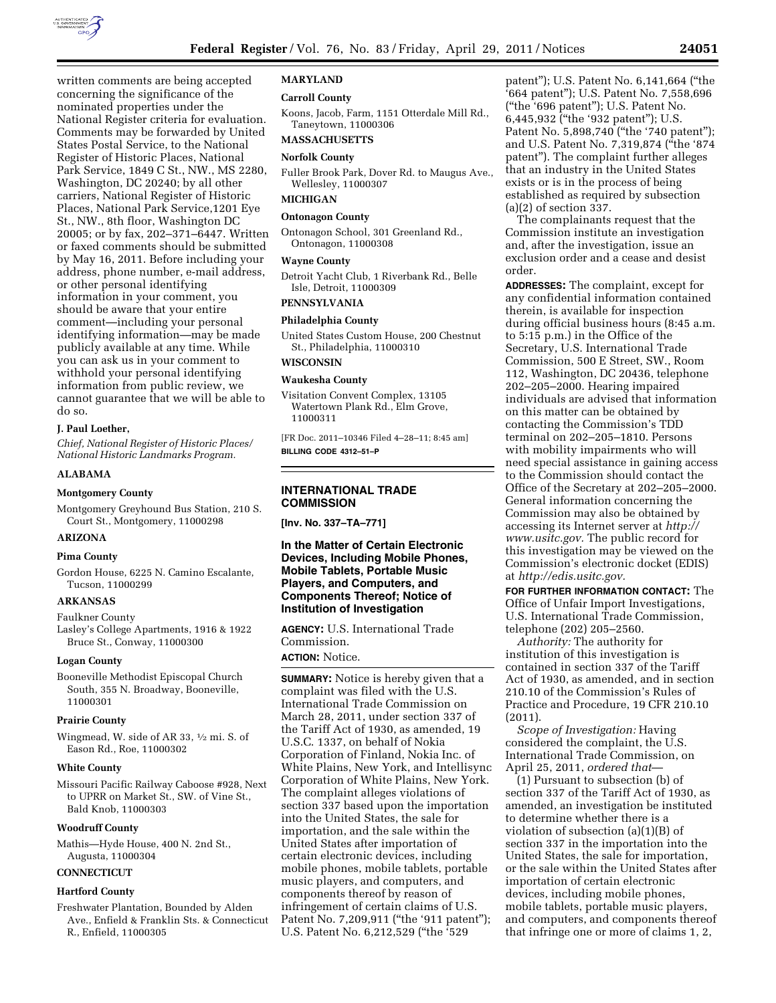

written comments are being accepted concerning the significance of the nominated properties under the National Register criteria for evaluation. Comments may be forwarded by United States Postal Service, to the National Register of Historic Places, National Park Service, 1849 C St., NW., MS 2280, Washington, DC 20240; by all other carriers, National Register of Historic Places, National Park Service,1201 Eye St., NW., 8th floor, Washington DC 20005; or by fax, 202–371–6447. Written or faxed comments should be submitted by May 16, 2011. Before including your address, phone number, e-mail address, or other personal identifying information in your comment, you should be aware that your entire comment—including your personal identifying information—may be made publicly available at any time. While you can ask us in your comment to withhold your personal identifying information from public review, we cannot guarantee that we will be able to do so.

### **J. Paul Loether,**

*Chief, National Register of Historic Places/ National Historic Landmarks Program.* 

### **ALABAMA**

### **Montgomery County**

Montgomery Greyhound Bus Station, 210 S. Court St., Montgomery, 11000298

# **ARIZONA**

#### **Pima County**

Gordon House, 6225 N. Camino Escalante, Tucson, 11000299

#### **ARKANSAS**

#### Faulkner County

Lasley's College Apartments, 1916 & 1922 Bruce St., Conway, 11000300

### **Logan County**

Booneville Methodist Episcopal Church South, 355 N. Broadway, Booneville, 11000301

#### **Prairie County**

Wingmead, W. side of AR 33, 1⁄2 mi. S. of Eason Rd., Roe, 11000302

#### **White County**

Missouri Pacific Railway Caboose #928, Next to UPRR on Market St., SW. of Vine St., Bald Knob, 11000303

#### **Woodruff County**

Mathis—Hyde House, 400 N. 2nd St., Augusta, 11000304

# **CONNECTICUT**

#### **Hartford County**

Freshwater Plantation, Bounded by Alden Ave., Enfield & Franklin Sts. & Connecticut R., Enfield, 11000305

### **MARYLAND**

### **Carroll County**

Koons, Jacob, Farm, 1151 Otterdale Mill Rd., Taneytown, 11000306

# **MASSACHUSETTS**

# **Norfolk County**

Fuller Brook Park, Dover Rd. to Maugus Ave., Wellesley, 11000307

# **MICHIGAN**

# **Ontonagon County**

Ontonagon School, 301 Greenland Rd., Ontonagon, 11000308

#### **Wayne County**

Detroit Yacht Club, 1 Riverbank Rd., Belle Isle, Detroit, 11000309

# **PENNSYLVANIA**

# **Philadelphia County**

United States Custom House, 200 Chestnut St., Philadelphia, 11000310

# **WISCONSIN**

### **Waukesha County**

Visitation Convent Complex, 13105 Watertown Plank Rd., Elm Grove, 11000311

[FR Doc. 2011–10346 Filed 4–28–11; 8:45 am] **BILLING CODE 4312–51–P** 

### **INTERNATIONAL TRADE COMMISSION**

**[Inv. No. 337–TA–771]** 

# **In the Matter of Certain Electronic Devices, Including Mobile Phones, Mobile Tablets, Portable Music Players, and Computers, and Components Thereof; Notice of Institution of Investigation**

**AGENCY:** U.S. International Trade Commission.

# **ACTION:** Notice.

**SUMMARY:** Notice is hereby given that a complaint was filed with the U.S. International Trade Commission on March 28, 2011, under section 337 of the Tariff Act of 1930, as amended, 19 U.S.C. 1337, on behalf of Nokia Corporation of Finland, Nokia Inc. of White Plains, New York, and Intellisync Corporation of White Plains, New York. The complaint alleges violations of section 337 based upon the importation into the United States, the sale for importation, and the sale within the United States after importation of certain electronic devices, including mobile phones, mobile tablets, portable music players, and computers, and components thereof by reason of infringement of certain claims of U.S. Patent No. 7,209,911 ("the '911 patent"); U.S. Patent No. 6,212,529 ("the '529

patent''); U.S. Patent No. 6,141,664 (''the '664 patent''); U.S. Patent No. 7,558,696 (''the '696 patent''); U.S. Patent No. 6,445,932 (''the '932 patent''); U.S. Patent No. 5,898,740 ("the '740 patent"); and U.S. Patent No. 7,319,874 (''the '874 patent''). The complaint further alleges that an industry in the United States exists or is in the process of being established as required by subsection (a)(2) of section 337.

The complainants request that the Commission institute an investigation and, after the investigation, issue an exclusion order and a cease and desist order.

**ADDRESSES:** The complaint, except for any confidential information contained therein, is available for inspection during official business hours (8:45 a.m. to 5:15 p.m.) in the Office of the Secretary, U.S. International Trade Commission, 500 E Street, SW., Room 112, Washington, DC 20436, telephone 202–205–2000. Hearing impaired individuals are advised that information on this matter can be obtained by contacting the Commission's TDD terminal on 202–205–1810. Persons with mobility impairments who will need special assistance in gaining access to the Commission should contact the Office of the Secretary at 202–205–2000. General information concerning the Commission may also be obtained by accessing its Internet server at *[http://](http://www.usitc.gov)  [www.usitc.gov.](http://www.usitc.gov)* The public record for this investigation may be viewed on the Commission's electronic docket (EDIS) at *[http://edis.usitc.gov.](http://edis.usitc.gov)* 

**FOR FURTHER INFORMATION CONTACT:** The Office of Unfair Import Investigations, U.S. International Trade Commission, telephone (202) 205–2560.

*Authority:* The authority for institution of this investigation is contained in section 337 of the Tariff Act of 1930, as amended, and in section 210.10 of the Commission's Rules of Practice and Procedure, 19 CFR 210.10 (2011).

*Scope of Investigation:* Having considered the complaint, the U.S. International Trade Commission, on April 25, 2011, *ordered that*—

(1) Pursuant to subsection (b) of section 337 of the Tariff Act of 1930, as amended, an investigation be instituted to determine whether there is a violation of subsection (a)(1)(B) of section 337 in the importation into the United States, the sale for importation, or the sale within the United States after importation of certain electronic devices, including mobile phones, mobile tablets, portable music players, and computers, and components thereof that infringe one or more of claims 1, 2,